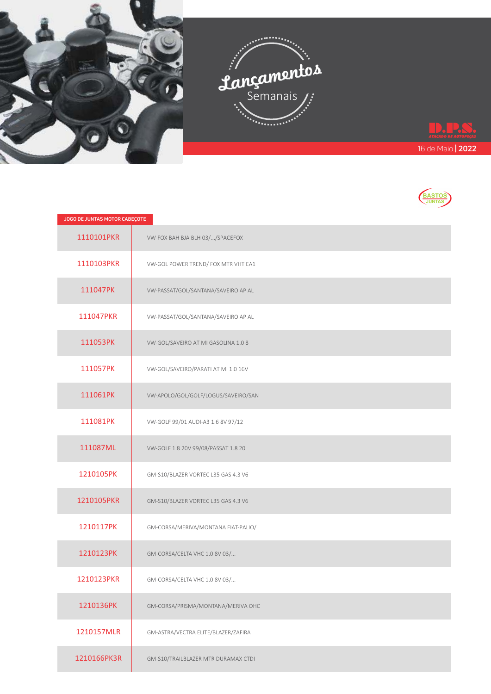



| JOGO DE JUNTAS MOTOR CABEÇOTE |                                     |
|-------------------------------|-------------------------------------|
| 1110101PKR                    | VW-FOX BAH BJA BLH 03//SPACEFOX     |
| 1110103PKR                    | VW-GOL POWER TREND/ FOX MTR VHT EA1 |
| 111047PK                      | VW-PASSAT/GOL/SANTANA/SAVEIRO AP AL |
| 111047PKR                     | VW-PASSAT/GOL/SANTANA/SAVEIRO AP AL |
| 111053PK                      | VW-GOL/SAVEIRO AT MI GASOLINA 1.0 8 |
| 111057PK                      | VW-GOL/SAVEIRO/PARATI AT MI 1.0 16V |
| 111061PK                      | VW-APOLO/GOL/GOLF/LOGUS/SAVEIRO/SAN |
| 111081PK                      | VW-GOLF 99/01 AUDI-A3 1.6 8V 97/12  |
| 111087ML                      | VW-GOLF 1.8 20V 99/08/PASSAT 1.8 20 |
| 1210105PK                     | GM-S10/BLAZER VORTEC L35 GAS 4.3 V6 |
| 1210105PKR                    | GM-S10/BLAZER VORTEC L35 GAS 4.3 V6 |
| 1210117PK                     | GM-CORSA/MERIVA/MONTANA FIAT-PALIO/ |
| 1210123PK                     | GM-CORSA/CELTA VHC 1.0 8V 03/       |
| 1210123PKR                    | GM-CORSA/CELTA VHC 1.0 8V 03/       |
| 1210136PK                     | GM-CORSA/PRISMA/MONTANA/MERIVA OHC  |
| 1210157MLR                    | GM-ASTRA/VECTRA ELITE/BLAZER/ZAFIRA |
| 1210166PK3R                   | GM-S10/TRAILBLAZER MTR DURAMAX CTDI |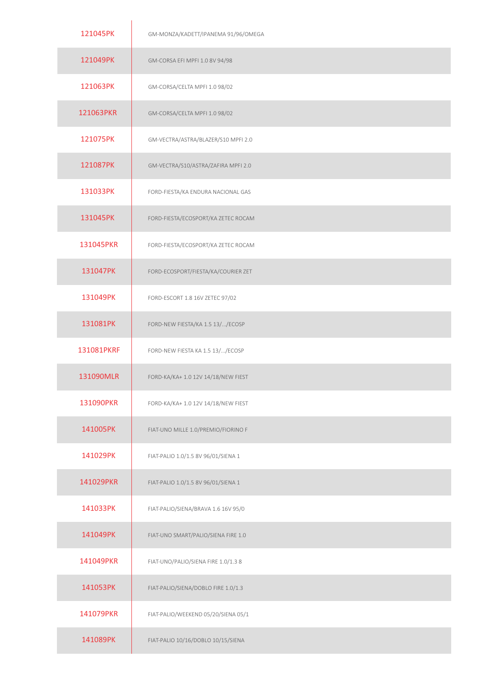| 121045PK   | GM-MONZA/KADETT/IPANEMA 91/96/OMEGA |
|------------|-------------------------------------|
| 121049PK   | GM-CORSA EFI MPFI 1.0 8V 94/98      |
| 121063PK   | GM-CORSA/CELTA MPFI 1.0 98/02       |
| 121063PKR  | GM-CORSA/CELTA MPFI 1.0 98/02       |
| 121075PK   | GM-VECTRA/ASTRA/BLAZER/S10 MPFI 2.0 |
| 121087PK   | GM-VECTRA/S10/ASTRA/ZAFIRA MPFI 2.0 |
| 131033PK   | FORD-FIESTA/KA ENDURA NACIONAL GAS  |
| 131045PK   | FORD-FIESTA/ECOSPORT/KA ZETEC ROCAM |
| 131045PKR  | FORD-FIESTA/ECOSPORT/KA ZETEC ROCAM |
| 131047PK   | FORD-ECOSPORT/FIESTA/KA/COURIER ZET |
| 131049PK   | FORD-ESCORT 1.8 16V ZETEC 97/02     |
| 131081PK   | FORD-NEW FIESTA/KA 1.5 13//ECOSP    |
| 131081PKRF | FORD-NEW FIESTA KA 1.5 13//ECOSP    |
| 131090MLR  | FORD-KA/KA+ 1.0 12V 14/18/NEW FIEST |
| 131090PKR  | FORD-KA/KA+ 1.0 12V 14/18/NEW FIEST |
| 141005PK   | FIAT-UNO MILLE 1.0/PREMIO/FIORINO F |
| 141029PK   | FIAT-PALIO 1.0/1.5 8V 96/01/SIENA 1 |
| 141029PKR  | FIAT-PALIO 1.0/1.5 8V 96/01/SIENA 1 |
| 141033PK   | FIAT-PALIO/SIENA/BRAVA 1.6 16V 95/0 |
| 141049PK   | FIAT-UNO SMART/PALIO/SIENA FIRE 1.0 |
| 141049PKR  | FIAT-UNO/PALIO/SIENA FIRE 1.0/1.3 8 |
| 141053PK   | FIAT-PALIO/SIENA/DOBLO FIRE 1.0/1.3 |
| 141079PKR  | FIAT-PALIO/WEEKEND 05/20/SIENA 05/1 |
| 141089PK   | FIAT-PALIO 10/16/DOBLO 10/15/SIENA  |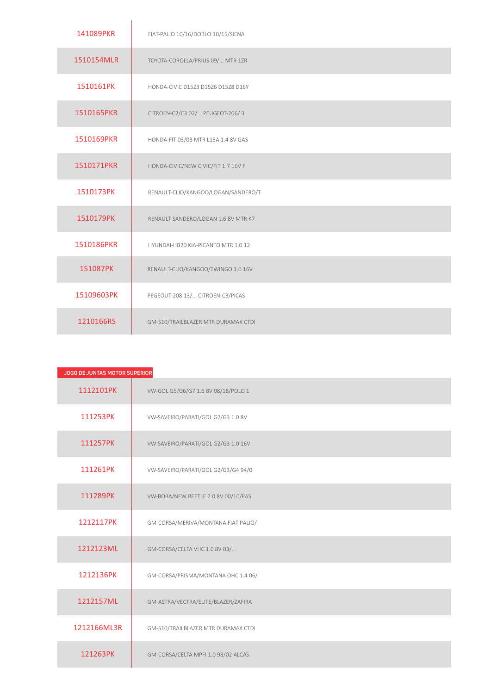| 141089PKR  | FIAT-PALIO 10/16/DOBLO 10/15/SIENA  |
|------------|-------------------------------------|
| 1510154MLR | TOYOTA-COROLLA/PRIUS 09/ MTR 1ZR    |
| 1510161PK  | HONDA-CIVIC D15Z3 D15Z6 D15Z8 D16Y  |
| 1510165PKR | CITROEN-C2/C3 02/ PEUGEOT-206/3     |
| 1510169PKR | HONDA-FIT 03/08 MTR L13A 1.4 8V GAS |
| 1510171PKR | HONDA-CIVIC/NEW CIVIC/FIT 1.7 16V F |
| 1510173PK  | RENAULT-CLIO/KANGOO/LOGAN/SANDERO/T |
| 1510179PK  | RENAULT-SANDERO/LOGAN 1.6 8V MTR K7 |
| 1510186PKR | HYUNDAI-HB20 KIA-PICANTO MTR 1.0 12 |
| 151087PK   | RENAULT-CLIO/KANGOO/TWINGO 1.0 16V  |
| 15109603PK | PEGEOUT-208 13/ CITROEN-C3/PICAS    |
| 1210166RS  | GM-S10/TRAILBLAZER MTR DURAMAX CTDI |

| JOGO DE JUNTAS MOTOR SUPERIOR |                                     |
|-------------------------------|-------------------------------------|
| 1112101PK                     | VW-GOL G5/G6/G7 1.6 8V 08/18/POLO 1 |
| 111253PK                      | VW-SAVEIRO/PARATI/GOL G2/G3 1.0 8V  |
| 111257PK                      | VW-SAVEIRO/PARATI/GOL G2/G3 1.0 16V |
| 111261PK                      | VW-SAVEIRO/PARATI/GOL G2/G3/G4 94/0 |
| 111289PK                      | VW-BORA/NEW BEETLE 2.0 8V 00/10/PAS |
| 1212117PK                     | GM-CORSA/MERIVA/MONTANA FIAT-PALIO/ |
| 1212123ML                     | GM-CORSA/CELTA VHC 1.0 8V 03/       |
| 1212136PK                     | GM-CORSA/PRISMA/MONTANA OHC 1.4 06/ |
| 1212157ML                     | GM-ASTRA/VECTRA/ELITE/BLAZER/ZAFIRA |
| 1212166ML3R                   | GM-S10/TRAILBLAZER MTR DURAMAX CTDI |
| 121263PK                      | GM-CORSA/CELTA MPFI 1.0 98/02 ALC/G |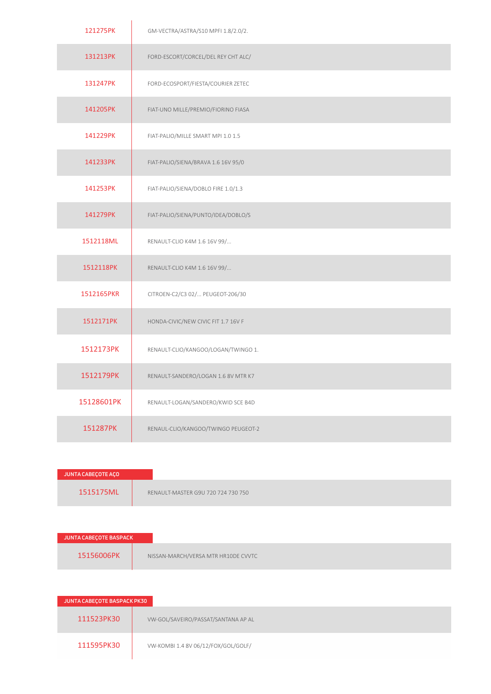| 121275PK   | GM-VECTRA/ASTRA/S10 MPFI 1.8/2.0/2. |
|------------|-------------------------------------|
| 131213PK   | FORD-ESCORT/CORCEL/DEL REY CHT ALC/ |
| 131247PK   | FORD-ECOSPORT/FIESTA/COURIER ZETEC  |
| 141205PK   | FIAT-UNO MILLE/PREMIO/FIORINO FIASA |
| 141229PK   | FIAT-PALIO/MILLE SMART MPI 1.0 1.5  |
| 141233PK   | FIAT-PALIO/SIENA/BRAVA 1.6 16V 95/0 |
| 141253PK   | FIAT-PALIO/SIENA/DOBLO FIRE 1.0/1.3 |
| 141279PK   | FIAT-PALIO/SIENA/PUNTO/IDEA/DOBLO/S |
| 1512118ML  | RENAULT-CLIO K4M 1.6 16V 99/        |
| 1512118PK  | RENAULT-CLIO K4M 1.6 16V 99/        |
| 1512165PKR | CITROEN-C2/C3 02/ PEUGEOT-206/30    |
| 1512171PK  | HONDA-CIVIC/NEW CIVIC FIT 1.7 16V F |
| 1512173PK  | RENAULT-CLIO/KANGOO/LOGAN/TWINGO 1. |
| 1512179PK  | RENAULT-SANDERO/LOGAN 1.6 8V MTR K7 |
| 15128601PK | RENAULT-LOGAN/SANDERO/KWID SCE B4D  |
| 151287PK   | RENAUL-CLIO/KANGOO/TWINGO PEUGEOT-2 |

| JUNTA CABEÇOTE AÇO |                                    |
|--------------------|------------------------------------|
| 1515175ML          | RENAULT-MASTER G9U 720 724 730 750 |

| <b>JUNTA CABECOTE BASPACK</b> |                                     |
|-------------------------------|-------------------------------------|
| 15156006PK                    | NISSAN-MARCH/VERSA MTR HR10DE CVVTC |

| JUNTA CABEÇOTE BASPACK PK30 |                                     |
|-----------------------------|-------------------------------------|
| 111523PK30                  | VW-GOL/SAVEIRO/PASSAT/SANTANA AP AL |
| 111595PK30                  | VW-KOMBI 1.4 8V 06/12/FOX/GOL/GOLF/ |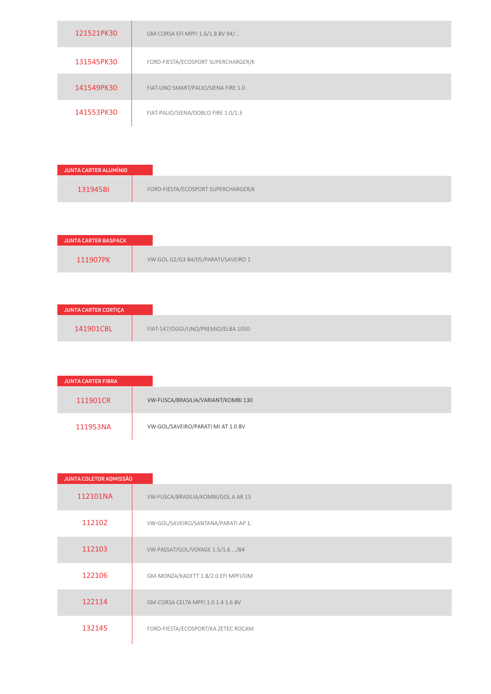| 121521PK30 | GM-CORSA EFI MPFI 1.6/1.8 8V 94/    |
|------------|-------------------------------------|
| 131545PK30 | FORD-FIESTA/ECOSPORT SUPERCHARGER/K |
| 141549PK30 | FIAT-UNO SMART/PALIO/SIENA FIRE 1.0 |
| 141553PK30 | FIAT-PALIO/SIENA/DOBLO FIRE 1.0/1.3 |
|            |                                     |

| JUNTA CARTER ALUMÍNIO |
|-----------------------|
| 131945BI              |

| <b>JUNTA CARTER BASPACK</b> |                                     |
|-----------------------------|-------------------------------------|
| 111907PK                    | VW-GOL G2/G3 84/05/PARATI/SAVEIRO 1 |

| JUNTA CARTER CORTIÇA |                                    |
|----------------------|------------------------------------|
| 141901CBL            | FIAT-147/OGGI/UNO/PREMIO/ELBA 1050 |

| <b>JUNTA CARTER FIBRA</b> |                                     |
|---------------------------|-------------------------------------|
| 111901CR                  | VW-FUSCA/BRASILIA/VARIANT/KOMBI 130 |
| 111953NA                  | VW-GOL/SAVEIRO/PARATI MI AT 1.0 8V  |

| <b>JUNTA COLETOR ADMISSÃO</b> |                                     |
|-------------------------------|-------------------------------------|
| 112101NA                      | VW-FUSCA/BRASILIA/KOMBI/GOL A AR 13 |
| 112102                        | VW-GOL/SAVEIRO/SANTANA/PARATI AP 1. |
| 112103                        | VW-PASSAT/GOL/VOYAGE 1.5/1.6 /84    |
| 122106                        | GM-MONZA/KADETT 1.8/2.0 EFI MPFI/OM |
| 122114                        | GM-CORSA CELTA MPFI 1.0 1.4 1.6 8V  |
| 132145                        | FORD-FIESTA/ECOSPORT/KA ZETEC ROCAM |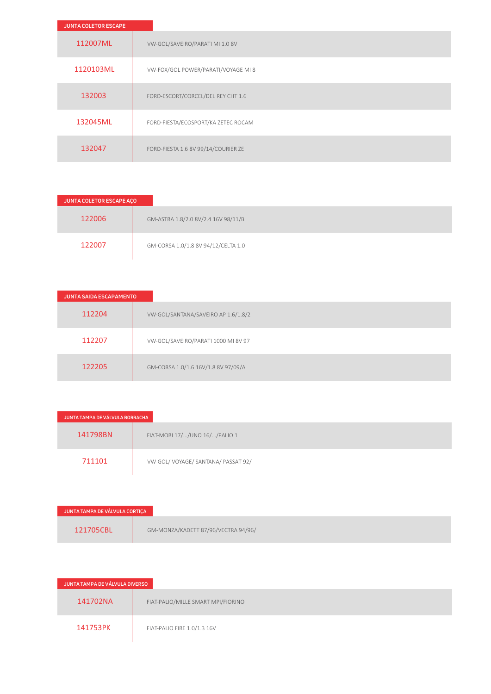| <b>JUNTA COLETOR ESCAPE</b> |                                     |
|-----------------------------|-------------------------------------|
| 112007ML                    | VW-GOL/SAVEIRO/PARATI MI 1.0 8V     |
| 1120103ML                   | VW-FOX/GOL POWER/PARATI/VOYAGE MI 8 |
| 132003                      | FORD-ESCORT/CORCEL/DEL REY CHT 1.6  |
| 132045ML                    | FORD-FIESTA/ECOSPORT/KA ZETEC ROCAM |
| 132047                      | FORD-FIESTA 1.6 8V 99/14/COURIER ZE |

| JUNTA COLETOR ESCAPE AÇO |                                     |
|--------------------------|-------------------------------------|
| 122006                   | GM-ASTRA 1.8/2.0 8V/2.4 16V 98/11/B |
| 122007                   | GM-CORSA 1.0/1.8 8V 94/12/CELTA 1.0 |

| <b>JUNTA SAIDA ESCAPAMENTO</b> |                                     |
|--------------------------------|-------------------------------------|
| 112204                         | VW-GOL/SANTANA/SAVEIRO AP 1.6/1.8/2 |
| 112207                         | VW-GOL/SAVEIRO/PARATI 1000 MI 8V 97 |
| 122205                         | GM-CORSA 1.0/1.6 16V/1.8 8V 97/09/A |

| JUNTA TAMPA DE VÁLVULA BORRACHA |                                  |
|---------------------------------|----------------------------------|
| 141798BN                        | FIAT-MOBI 17//UNO 16//PALIO 1    |
| 711101                          | VW-GOL/VOYAGE/SANTANA/PASSAT 92/ |

| JUNTA TAMPA DE VÁLVULA CORTIÇA |                                     |
|--------------------------------|-------------------------------------|
| 121705CBL                      | GM-MONZA/KADETT 87/96/VECTRA 94/96/ |

| JUNTA TAMPA DE VÁLVULA DIVERSO |                                    |
|--------------------------------|------------------------------------|
| 141702NA                       | FIAT-PALIO/MILLE SMART MPI/FIORINO |
| 141753PK                       | FIAT-PALIO FIRE 1.0/1.3 16V        |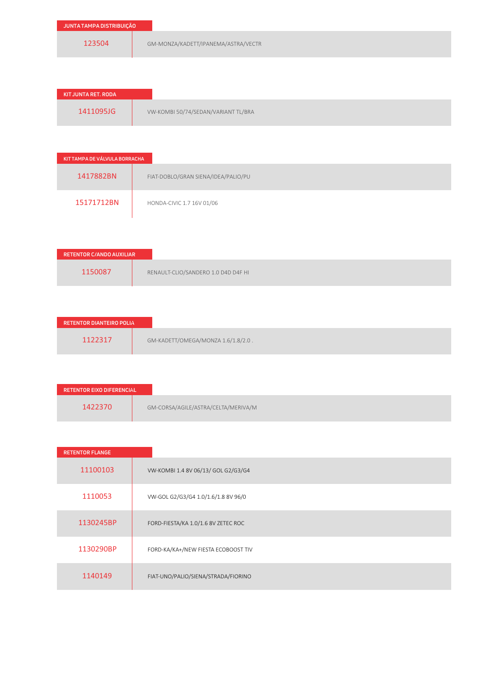| JUNTA TAMPA DISTRIBUIÇÃO |                                     |
|--------------------------|-------------------------------------|
| 123504                   | GM-MONZA/KADETT/IPANEMA/ASTRA/VECTR |

| KIT JUNTA RET. RODA |                                     |
|---------------------|-------------------------------------|
| 1411095JG           | VW-KOMBI 50/74/SEDAN/VARIANT TL/BRA |

| KIT TAMPA DE VÁLVULA BORRACHA |                                     |
|-------------------------------|-------------------------------------|
| 1417882BN                     | FIAT-DOBLO/GRAN SIENA/IDEA/PALIO/PU |
| 15171712BN                    | HONDA-CIVIC 1.7 16V 01/06           |

| RETENTOR C/ANDO AUXILIAR |                                     |
|--------------------------|-------------------------------------|
| 1150087                  | RENAULT-CLIO/SANDERO 1.0 D4D D4F HI |

| <b>RETENTOR DIANTEIRO POLIA</b>               |
|-----------------------------------------------|
| 1122317<br>GM-KADETT/OMEGA/MONZA 1.6/1.8/2.0. |

| RETENTOR EIXO DIFERENCIAL |                                     |
|---------------------------|-------------------------------------|
| 1422370                   | GM-CORSA/AGILE/ASTRA/CELTA/MERIVA/M |

| <b>RETENTOR FLANGE</b> |                                     |
|------------------------|-------------------------------------|
| 11100103               | VW-KOMBI 1.4 8V 06/13/ GOL G2/G3/G4 |
| 1110053                | VW-GOL G2/G3/G4 1.0/1.6/1.8 8V 96/0 |
| 1130245BP              | FORD-FIESTA/KA 1.0/1.6 8V ZETEC ROC |
| 1130290BP              | FORD-KA/KA+/NEW FIESTA ECOBOOST TIV |
| 1140149                | FIAT-UNO/PALIO/SIENA/STRADA/FIORINO |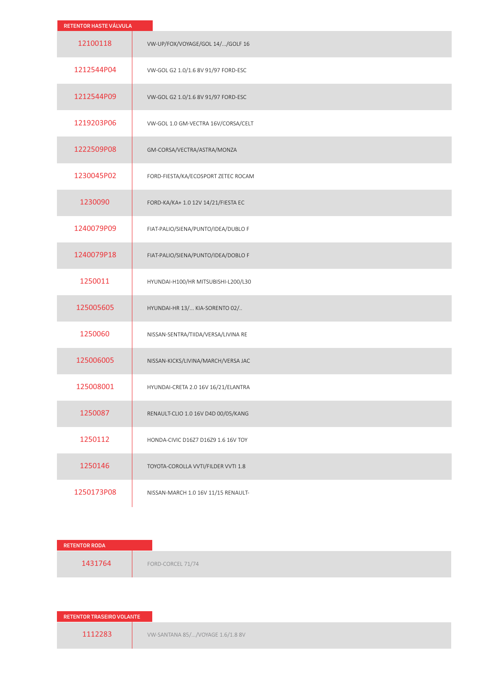| RETENTOR HASTE VÁLVULA |                                     |
|------------------------|-------------------------------------|
| 12100118               | VW-UP/FOX/VOYAGE/GOL 14//GOLF 16    |
| 1212544P04             | VW-GOL G2 1.0/1.6 8V 91/97 FORD-ESC |
| 1212544P09             | VW-GOL G2 1.0/1.6 8V 91/97 FORD-ESC |
| 1219203P06             | VW-GOL 1.0 GM-VECTRA 16V/CORSA/CELT |
| 1222509P08             | GM-CORSA/VECTRA/ASTRA/MONZA         |
| 1230045P02             | FORD-FIESTA/KA/ECOSPORT ZETEC ROCAM |
| 1230090                | FORD-KA/KA+ 1.0 12V 14/21/FIESTA EC |
| 1240079P09             | FIAT-PALIO/SIENA/PUNTO/IDEA/DUBLO F |
| 1240079P18             | FIAT-PALIO/SIENA/PUNTO/IDEA/DOBLO F |
| 1250011                | HYUNDAI-H100/HR MITSUBISHI-L200/L30 |
| 125005605              | HYUNDAI-HR 13/ KIA-SORENTO 02/      |
| 1250060                | NISSAN-SENTRA/TIIDA/VERSA/LIVINA RE |
| 125006005              | NISSAN-KICKS/LIVINA/MARCH/VERSA JAC |
| 125008001              | HYUNDAI-CRETA 2.0 16V 16/21/ELANTRA |
| 1250087                | RENAULT-CLIO 1.0 16V D4D 00/05/KANG |
| 1250112                | HONDA-CIVIC D16Z7 D16Z9 1.6 16V TOY |
| 1250146                | TOYOTA-COROLLA VVTI/FILDER VVTI 1.8 |
| 1250173P08             | NISSAN-MARCH 1.0 16V 11/15 RENAULT- |

| <b>RETENTOR RODA</b> |                   |
|----------------------|-------------------|
| 1431764              | FORD-CORCEL 71/74 |
|                      |                   |

**RETENTOR TRASEIRO VOLANTE**

1112283 **VW-SANTANA 85/.../VOYAGE 1.6/1.8 8V**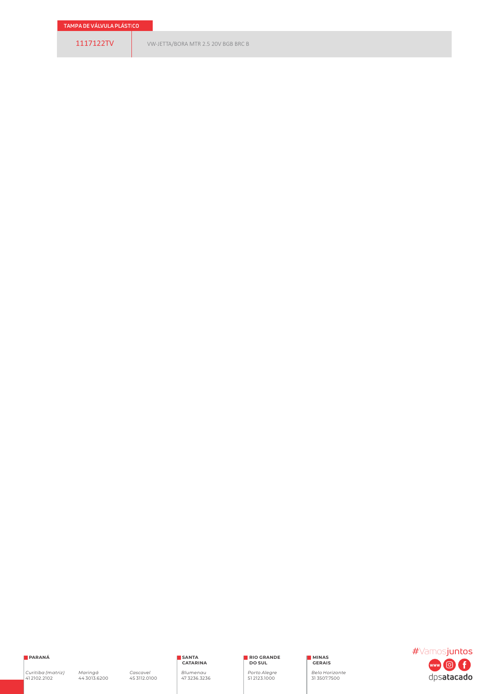**PARANÁ**

*Curitiba (matriz)*  41 2102.2102

*Maringá* 44 3013.6200

*Cascavel* 45 3112.0100

**SANTA CATARINA** *Blumenau*  47 3236.3236 **RIO GRANDE DO SUL**

*Porto Alegre* 51 2123.1000

**MINAS GERAIS**

*Belo Horizonte* 31 3507.7500

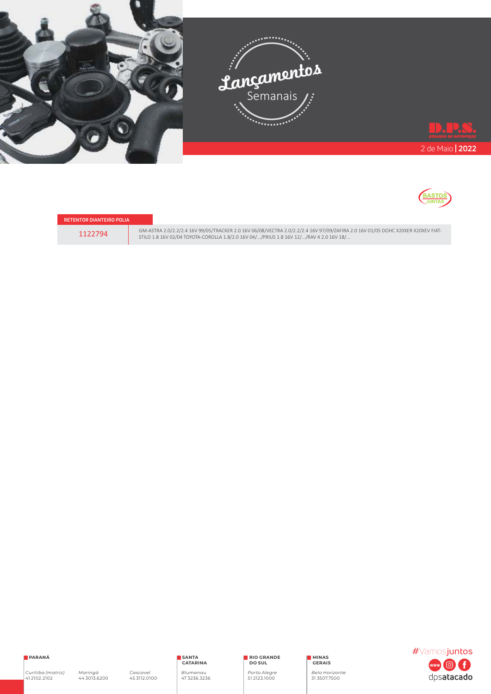



| RETENTOR DIĀNTEIRO POLIA |  |  |
|--------------------------|--|--|
| 1122794                  |  |  |

6M-ASTRA 2.0/2.2/2.4 16V 99/05/TRACKER 2.0 16V 06/08/VECTRA 2.0/2.2/2.4 16V 97/09/ZAFIRA 2.0 16V 01/05 DOHC X20XER X20XEV FIAT-<br>5TILO 1.8 16V 02/04 TOYOTA-COROLLA 1.8/2.0 16V 04/.../PRIUS 1.8 16V 12/.../RAV 4 2.0 16V 18/..

**PARANÁ**

*Maringá* 44 3013.6200

**RIO GRANDE DO SUL**

*Porto Alegre* 51 2123.1000

**MINAS GERAIS**

*Belo Horizonte* 31 3507.7500

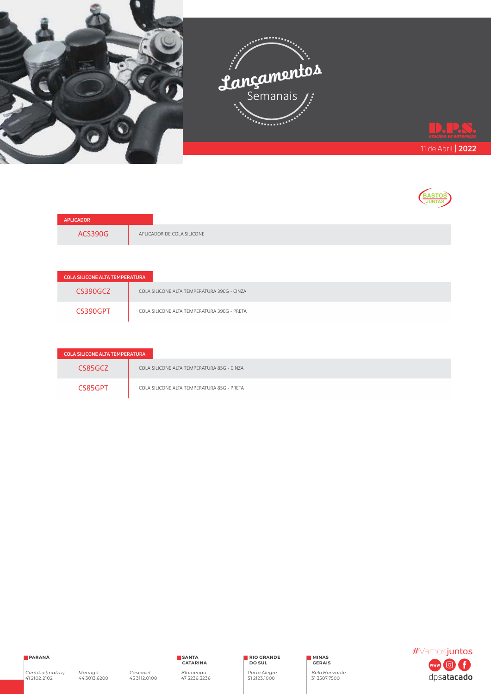



| APLICADOR |                            |
|-----------|----------------------------|
| ACS390G   | APLICADOR DE COLA SILICONE |

| <b>COLA SILICONE ALTA TEMPERATURA</b> |                                             |
|---------------------------------------|---------------------------------------------|
| CS390GCZ                              | COLA SILICONE ALTA TEMPERATURA 390G - CINZA |
| CS390GPT                              | COLA SILICONE ALTA TEMPERATURA 390G - PRETA |

| <b>COLA SILICONE ALTA TEMPERATURA</b> |                                            |
|---------------------------------------|--------------------------------------------|
| CS85GC7                               | COLA SILICONE ALTA TEMPERATURA 85G - CINZA |
| CS85GPT                               | COLA SILICONE ALTA TEMPERATURA 85G - PRETA |



**RIO GRANDE DO SUL**

*Porto Alegre* 51 2123.1000

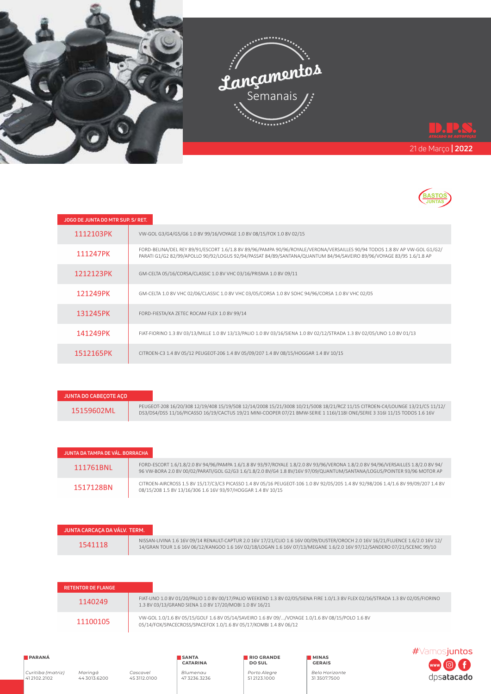



| JOGO DE JUNTA DO MTR SUP. S/ RET. |                                                                                                                                                                                                                                                    |
|-----------------------------------|----------------------------------------------------------------------------------------------------------------------------------------------------------------------------------------------------------------------------------------------------|
| 1112103PK                         | VW-GOL G3/G4/G5/G6 1.0 8V 99/16/VOYAGE 1.0 8V 08/15/FOX 1.0 8V 02/15                                                                                                                                                                               |
| 111247PK                          | FORD-BELINA/DEL REY 89/91/ESCORT 1.6/1.8 8V 89/96/PAMPA 90/96/ROYALE/VERONA/VERSAILLES 90/94 TODOS 1.8 8V AP VW-GOL G1/G2/<br>PARATI G1/G2 82/99/APOLLO 90/92/LOGUS 92/94/PASSAT 84/89/SANTANA/QUANTUM 84/94/SAVEIRO 89/96/VOYAGE 83/95 1.6/1.8 AP |
| 1212123PK                         | GM-CELTA 05/16/CORSA/CLASSIC 1.0 8V VHC 03/16/PRISMA 1.0 8V 09/11                                                                                                                                                                                  |
| 121249PK                          | GM-CELTA 1.0 8V VHC 02/06/CLASSIC 1.0 8V VHC 03/05/CORSA 1.0 8V SOHC 94/96/CORSA 1.0 8V VHC 02/05                                                                                                                                                  |
| 131245PK                          | FORD-FIESTA/KA ZETEC ROCAM FLEX 1.0 8V 99/14                                                                                                                                                                                                       |
| 141249PK                          | FIAT-FIORINO 1.3 8V 03/13/MILLE 1.0 8V 13/13/PALIO 1.0 8V 03/16/SIENA 1.0 8V 02/12/STRADA 1.3 8V 02/05/UNO 1.0 8V 01/13                                                                                                                            |
| 1512165PK                         | CITROEN-C3 1.4 8V 05/12 PEUGEOT-206 1.4 8V 05/09/207 1.4 8V 08/15/HOGGAR 1.4 8V 10/15                                                                                                                                                              |

| JUNTA DO CABECOTE ACO |                                                                                                                                                                                                                                                           |
|-----------------------|-----------------------------------------------------------------------------------------------------------------------------------------------------------------------------------------------------------------------------------------------------------|
| 15159602ML            | PEUGEOT-208 16/20/308 12/19/408 15/19/508 12/14/2008 15/21/3008 10/21/5008 18/21/RCZ 11/15 CITROEN-C4/LOUNGE 13/21/C5 11/12/<br>DS3/DS4/DS5 11/16/PICASSO 16/19/CACTUS 19/21 MINI-COOPER 07/21 BMW-SERIE 1 116//118I ONE/SERIE 3 316  11/15 TODOS 1.6 16V |

| JUNTA DA TAMPA DE VÁL. BORRACHA |                                                                                                                                                                                                                                                               |
|---------------------------------|---------------------------------------------------------------------------------------------------------------------------------------------------------------------------------------------------------------------------------------------------------------|
| 111761BNL                       | FORD-ESCORT 1.6/1.8/2.0 8V 94/96/PAMPA 1.6/1.8 8V 93/97/ROYALE 1.8/2.0 8V 93/96/VERONA 1.8/2.0 8V 94/96/VERSAILLES 1.8/2.0 8V 94/<br>96 VW-BORA 2.0 8V 00/02/PARATI/GOL G2/G3 1.6/1.8/2.0 8V/G4 1.8 8V/16V 97/09/QUANTUM/SANTANA/LOGUS/POINTER 93/96 MOTOR AP |
| 1517128BN                       | CITROEN-AIRCROSS 1.5 8V 15/17/C3/C3 PICASSO 1.4 8V 05/16 PEUGEOT-106 1.0 8V 92/05/205 1.4 8V 92/98/206 1.4/1.6 8V 99/09/207 1.4 8V<br>08/15/208 1.5 8V 13/16/306 1.6 16V 93/97/HOGGAR 1.4 8V 10/15                                                            |

| JUNTA CARCACA DA VÁLV. TERM. |                                                                                                                                                                                                                                                           |  |
|------------------------------|-----------------------------------------------------------------------------------------------------------------------------------------------------------------------------------------------------------------------------------------------------------|--|
| 1541118                      | NISSAN-LIVINA 1.6 16V 09/14 RENAULT-CAPTUR 2.0 16V 17/21/CLIO 1.6 16V 00/09/DUSTER/OROCH 2.0 16V 16/21/FLUENCE 1.6/2.0 16V 12/<br>14/GRAN TOUR 1.6 16V 06/12/KANGOO 1.6 16V 02/18/LOGAN 1.6 16V 07/13/MEGANE 1.6/2.0 16V 97/12/SANDERO 07/21/SCENIC 99/10 |  |

| <b>RETENTOR DE FLANGE</b> |                                                                                                                                                                                             |
|---------------------------|---------------------------------------------------------------------------------------------------------------------------------------------------------------------------------------------|
| 1140249                   | FIAT-UNO 1.0 8V 01/20/PALIO 1.0 8V 00/17/PALIO WEEKEND 1.3 8V 02/05/SIENA FIRE 1.0/1.3 8V FLEX 02/16/STRADA 1.3 8V 02/05/FIORINO<br>1.3 8V 03/13/GRAND SIENA 1.0 8V 17/20/MOBI 1.0 8V 16/21 |
| 11100105                  | VW-GOL 1.0/1.6 8V 05/15/GOLF 1.6 8V 05/14/SAVEIRO 1.6 8V 09//VOYAGE 1.0/1.6 8V 08/15/POLO 1.6 8V<br>05/14/FOX/SPACECROSS/SPACEFOX 1.0/1.6 8V 05/17/KOMBI 1.4 8V 06/12                       |

## **PARANÁ**

*Curitiba (matriz)*  41 2102.2102

**RIO GRANDE DO SUL**

*Porto Alegre* 51 2123.1000

*Belo Horizonte* 31 3507.7500

**MINAS GERAIS**

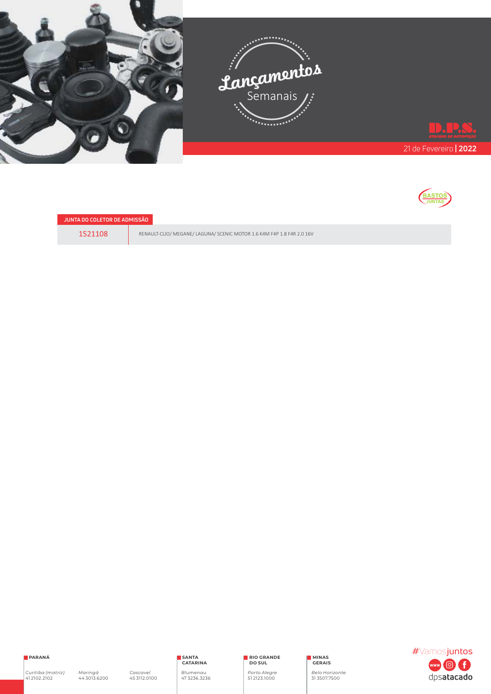



**JUNTA DO COLETOR DE ADMISSÃO**

1521108 RENAULT-CLIO/ MEGANE/ LAGUNA/ SCENIC MOTOR 1.6 K4M F4P 1.8 F4R 2.0 16V

**PARANÁ**

*Curitiba (matriz)*  41 2102.2102

*Maringá* 44 3013.6200

**SANTA CATARINA** *Blumenau*  47 3236.3236

*Cascavel* 45 3112.0100

**RIO GRANDE DO SUL**

*Porto Alegre* 51 2123.1000

**MINAS GERAIS**

*Belo Horizonte* 31 3507.7500